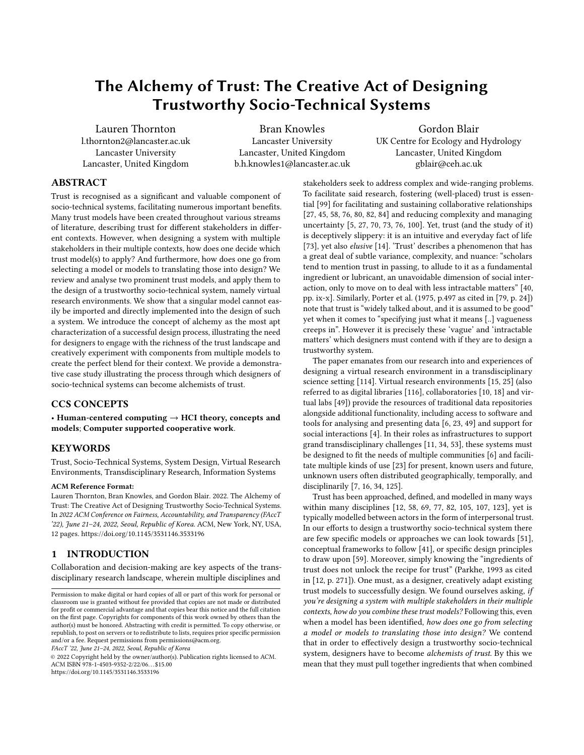# The Alchemy of Trust: The Creative Act of Designing Trustworthy Socio-Technical Systems

[Lauren Thornton](https://orcid.org/0000-0003-4558-1518) l.thornton2@lancaster.ac.uk Lancaster University Lancaster, United Kingdom

[Bran Knowles](https://orcid.org/0000-0002-2554-1896) Lancaster University Lancaster, United Kingdom b.h.knowles1@lancaster.ac.uk

[Gordon Blair](https://orcid.org/0000-0001-6212-1906) UK Centre for Ecology and Hydrology Lancaster, United Kingdom gblair@ceh.ac.uk

## ABSTRACT

Trust is recognised as a significant and valuable component of socio-technical systems, facilitating numerous important benefits. Many trust models have been created throughout various streams of literature, describing trust for different stakeholders in different contexts. However, when designing a system with multiple stakeholders in their multiple contexts, how does one decide which trust model(s) to apply? And furthermore, how does one go from selecting a model or models to translating those into design? We review and analyse two prominent trust models, and apply them to the design of a trustworthy socio-technical system, namely virtual research environments. We show that a singular model cannot easily be imported and directly implemented into the design of such a system. We introduce the concept of alchemy as the most apt characterization of a successful design process, illustrating the need for designers to engage with the richness of the trust landscape and creatively experiment with components from multiple models to create the perfect blend for their context. We provide a demonstrative case study illustrating the process through which designers of socio-technical systems can become alchemists of trust.

## CCS CONCEPTS

• Human-centered computing  $\rightarrow$  HCI theory, concepts and models; Computer supported cooperative work.

## KEYWORDS

Trust, Socio-Technical Systems, System Design, Virtual Research Environments, Transdisciplinary Research, Information Systems

#### ACM Reference Format:

Lauren Thornton, Bran Knowles, and Gordon Blair. 2022. The Alchemy of Trust: The Creative Act of Designing Trustworthy Socio-Technical Systems. In 2022 ACM Conference on Fairness, Accountability, and Transparency (FAccT '22), June 21–24, 2022, Seoul, Republic of Korea. ACM, New York, NY, USA, [12](#page-11-0) pages.<https://doi.org/10.1145/3531146.3533196>

## <span id="page-0-0"></span>1 INTRODUCTION

Collaboration and decision-making are key aspects of the transdisciplinary research landscape, wherein multiple disciplines and

FAccT '22, June 21–24, 2022, Seoul, Republic of Korea

© 2022 Copyright held by the owner/author(s). Publication rights licensed to ACM. ACM ISBN 978-1-4503-9352-2/22/06. . . \$15.00 <https://doi.org/10.1145/3531146.3533196>

stakeholders seek to address complex and wide-ranging problems. To facilitate said research, fostering (well-placed) trust is essential [\[99\]](#page-11-1) for facilitating and sustaining collaborative relationships [\[27,](#page-9-0) [45,](#page-10-0) [58,](#page-10-1) [76,](#page-10-2) [80,](#page-10-3) [82,](#page-10-4) [84\]](#page-10-5) and reducing complexity and managing uncertainty [\[5,](#page-9-1) [27,](#page-9-0) [70,](#page-10-6) [73,](#page-10-7) [76,](#page-10-2) [100\]](#page-11-2). Yet, trust (and the study of it) is deceptively slippery: it is an intuitive and everyday fact of life [\[73\]](#page-10-7), yet also elusive [\[14\]](#page-9-2). 'Trust' describes a phenomenon that has a great deal of subtle variance, complexity, and nuance: "scholars tend to mention trust in passing, to allude to it as a fundamental ingredient or lubricant, an unavoidable dimension of social interaction, only to move on to deal with less intractable matters" [\[40,](#page-9-3) pp. ix-x]. Similarly, Porter et al. (1975, p.497 as cited in [\[79,](#page-10-8) p. 24]) note that trust is "widely talked about, and it is assumed to be good" yet when it comes to "specifying just what it means [..] vagueness creeps in". However it is precisely these 'vague' and 'intractable matters' which designers must contend with if they are to design a trustworthy system.

The paper emanates from our research into and experiences of designing a virtual research environment in a transdisciplinary science setting [\[114\]](#page-11-3). Virtual research environments [\[15,](#page-9-4) [25\]](#page-9-5) (also referred to as digital libraries [\[116\]](#page-11-4), collaboratories [\[10,](#page-9-6) [18\]](#page-9-7) and virtual labs [\[49\]](#page-10-9)) provide the resources of traditional data repositories alongside additional functionality, including access to software and tools for analysing and presenting data [\[6,](#page-9-8) [23,](#page-9-9) [49\]](#page-10-9) and support for social interactions [\[4\]](#page-9-10). In their roles as infrastructures to support grand transdisciplinary challenges [\[11,](#page-9-11) [34,](#page-9-12) [53\]](#page-10-10), these systems must be designed to fit the needs of multiple communities [\[6\]](#page-9-8) and facilitate multiple kinds of use [\[23\]](#page-9-9) for present, known users and future, unknown users often distributed geographically, temporally, and disciplinarily [\[7,](#page-9-13) [16,](#page-9-14) [34,](#page-9-12) [125\]](#page-11-5).

Trust has been approached, defined, and modelled in many ways within many disciplines [\[12,](#page-9-15) [58,](#page-10-1) [69,](#page-10-11) [77,](#page-10-12) [82,](#page-10-4) [105,](#page-11-6) [107,](#page-11-7) [123\]](#page-11-8), yet is typically modelled between actors in the form of interpersonal trust. In our efforts to design a trustworthy socio-technical system there are few specific models or approaches we can look towards [\[51\]](#page-10-13), conceptual frameworks to follow [\[41\]](#page-9-16), or specific design principles to draw upon [\[59\]](#page-10-14). Moreover, simply knowing the "ingredients of trust does not unlock the recipe for trust" (Parkhe, 1993 as cited in [\[12,](#page-9-15) p. 271]). One must, as a designer, creatively adapt existing trust models to successfully design. We found ourselves asking, if you're designing a system with multiple stakeholders in their multiple contexts, how do you combine these trust models? Following this, even when a model has been identified, how does one go from selecting a model or models to translating those into design? We contend that in order to effectively design a trustworthy socio-technical system, designers have to become alchemists of trust. By this we mean that they must pull together ingredients that when combined

Permission to make digital or hard copies of all or part of this work for personal or classroom use is granted without fee provided that copies are not made or distributed for profit or commercial advantage and that copies bear this notice and the full citation on the first page. Copyrights for components of this work owned by others than the author(s) must be honored. Abstracting with credit is permitted. To copy otherwise, or republish, to post on servers or to redistribute to lists, requires prior specific permission and/or a fee. Request permissions from permissions@acm.org.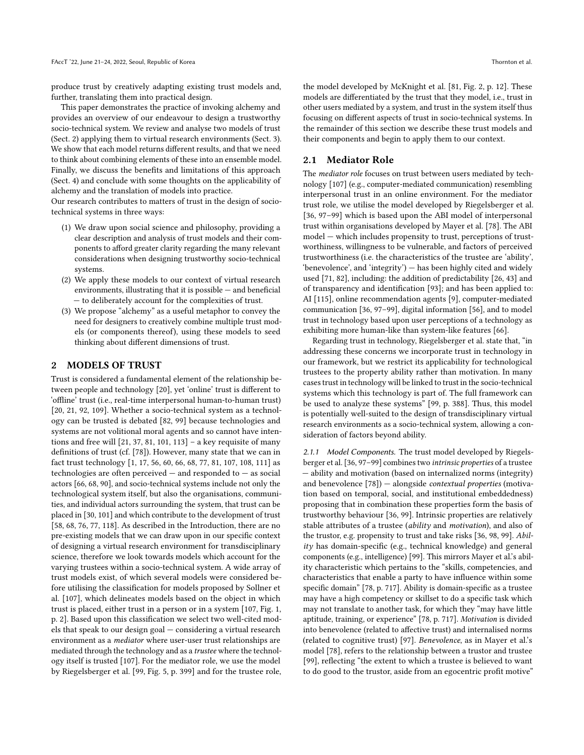produce trust by creatively adapting existing trust models and, further, translating them into practical design.

This paper demonstrates the practice of invoking alchemy and provides an overview of our endeavour to design a trustworthy socio-technical system. We review and analyse two models of trust (Sect. [2\)](#page-1-0) applying them to virtual research environments (Sect. [3\)](#page-4-0). We show that each model returns different results, and that we need to think about combining elements of these into an ensemble model. Finally, we discuss the benefits and limitations of this approach (Sect. [4\)](#page-6-0) and conclude with some thoughts on the applicability of alchemy and the translation of models into practice.

Our research contributes to matters of trust in the design of sociotechnical systems in three ways:

- (1) We draw upon social science and philosophy, providing a clear description and analysis of trust models and their components to afford greater clarity regarding the many relevant considerations when designing trustworthy socio-technical systems.
- (2) We apply these models to our context of virtual research environments, illustrating that it is possible — and beneficial — to deliberately account for the complexities of trust.
- (3) We propose "alchemy" as a useful metaphor to convey the need for designers to creatively combine multiple trust models (or components thereof), using these models to seed thinking about different dimensions of trust.

#### <span id="page-1-0"></span>2 MODELS OF TRUST

Trust is considered a fundamental element of the relationship between people and technology [\[20\]](#page-9-17), yet 'online' trust is different to 'offline' trust (i.e., real-time interpersonal human-to-human trust) [\[20,](#page-9-17) [21,](#page-9-18) [92,](#page-11-9) [109\]](#page-11-10). Whether a socio-technical system as a technology can be trusted is debated [\[82,](#page-10-4) [99\]](#page-11-1) because technologies and systems are not volitional moral agents and so cannot have intentions and free will  $[21, 37, 81, 101, 113]$  $[21, 37, 81, 101, 113]$  $[21, 37, 81, 101, 113]$  $[21, 37, 81, 101, 113]$  $[21, 37, 81, 101, 113]$  $[21, 37, 81, 101, 113]$  $[21, 37, 81, 101, 113]$  $[21, 37, 81, 101, 113]$  $[21, 37, 81, 101, 113]$  – a key requisite of many definitions of trust (cf. [\[78\]](#page-10-16)). However, many state that we can in fact trust technology [\[1,](#page-9-20) [17,](#page-9-21) [56,](#page-10-17) [60,](#page-10-18) [66,](#page-10-19) [68,](#page-10-20) [77,](#page-10-12) [81,](#page-10-15) [107,](#page-11-7) [108,](#page-11-13) [111\]](#page-11-14) as technologies are often perceived  $-$  and responded to  $-$  as social actors [\[66,](#page-10-19) [68,](#page-10-20) [90\]](#page-11-15), and socio-technical systems include not only the technological system itself, but also the organisations, communities, and individual actors surrounding the system, that trust can be placed in [\[30,](#page-9-22) [101\]](#page-11-11) and which contribute to the development of trust [\[58,](#page-10-1) [68,](#page-10-20) [76,](#page-10-2) [77,](#page-10-12) [118\]](#page-11-16). As described in the Introduction, there are no pre-existing models that we can draw upon in our specific context of designing a virtual research environment for transdisciplinary science, therefore we look towards models which account for the varying trustees within a socio-technical system. A wide array of trust models exist, of which several models were considered before utilising the classification for models proposed by Sollner et al. [\[107\]](#page-11-7), which delineates models based on the object in which trust is placed, either trust in a person or in a system [\[107,](#page-11-7) Fig. 1, p. 2]. Based upon this classification we select two well-cited models that speak to our design goal — considering a virtual research environment as a mediator where user-user trust relationships are mediated through the technology and as a trustee where the technology itself is trusted [\[107\]](#page-11-7). For the mediator role, we use the model by Riegelsberger et al. [\[99,](#page-11-1) Fig. 5, p. 399] and for the trustee role,

the model developed by McKnight et al. [\[81,](#page-10-15) Fig. 2, p. 12]. These models are differentiated by the trust that they model, i.e., trust in other users mediated by a system, and trust in the system itself thus focusing on different aspects of trust in socio-technical systems. In the remainder of this section we describe these trust models and their components and begin to apply them to our context.

### 2.1 Mediator Role

The mediator role focuses on trust between users mediated by technology [\[107\]](#page-11-7) (e.g., computer-mediated communication) resembling interpersonal trust in an online environment. For the mediator trust role, we utilise the model developed by Riegelsberger et al. [\[36,](#page-9-23) [97](#page-11-17)[–99\]](#page-11-1) which is based upon the ABI model of interpersonal trust within organisations developed by Mayer et al. [\[78\]](#page-10-16). The ABI model — which includes propensity to trust, perceptions of trustworthiness, willingness to be vulnerable, and factors of perceived trustworthiness (i.e. the characteristics of the trustee are 'ability', 'benevolence', and 'integrity') — has been highly cited and widely used [\[71,](#page-10-21) [82\]](#page-10-4), including: the addition of predictability [\[26,](#page-9-24) [43\]](#page-10-22) and of transparency and identification [\[93\]](#page-11-18); and has been applied to: AI [\[115\]](#page-11-19), online recommendation agents [\[9\]](#page-9-25), computer-mediated communication [\[36,](#page-9-23) [97–](#page-11-17)[99\]](#page-11-1), digital information [\[56\]](#page-10-17), and to model trust in technology based upon user perceptions of a technology as exhibiting more human-like than system-like features [\[66\]](#page-10-19).

Regarding trust in technology, Riegelsberger et al. state that, "in addressing these concerns we incorporate trust in technology in our framework, but we restrict its applicability for technological trustees to the property ability rather than motivation. In many cases trust in technology will be linked to trust in the socio-technical systems which this technology is part of. The full framework can be used to analyze these systems" [\[99,](#page-11-1) p. 388]. Thus, this model is potentially well-suited to the design of transdisciplinary virtual research environments as a socio-technical system, allowing a consideration of factors beyond ability.

2.1.1 Model Components. The trust model developed by Riegelsberger et al. [\[36,](#page-9-23) [97](#page-11-17)[–99\]](#page-11-1) combines two intrinsic properties of a trustee — ability and motivation (based on internalized norms (integrity) and benevolence [\[78\]](#page-10-16)) — alongside contextual properties (motivation based on temporal, social, and institutional embeddedness) proposing that in combination these properties form the basis of trustworthy behaviour [\[36,](#page-9-23) [99\]](#page-11-1). Intrinsic properties are relatively stable attributes of a trustee (ability and motivation), and also of the trustor, e.g. propensity to trust and take risks [\[36,](#page-9-23) [98,](#page-11-20) [99\]](#page-11-1). Ability has domain-specific (e.g., technical knowledge) and general components (e.g., intelligence) [\[99\]](#page-11-1). This mirrors Mayer et al.'s ability characteristic which pertains to the "skills, competencies, and characteristics that enable a party to have influence within some specific domain" [\[78,](#page-10-16) p. 717]. Ability is domain-specific as a trustee may have a high competency or skillset to do a specific task which may not translate to another task, for which they "may have little aptitude, training, or experience" [\[78,](#page-10-16) p. 717]. Motivation is divided into benevolence (related to affective trust) and internalised norms (related to cognitive trust) [\[97\]](#page-11-17). Benevolence, as in Mayer et al.'s model [\[78\]](#page-10-16), refers to the relationship between a trustor and trustee [\[99\]](#page-11-1), reflecting "the extent to which a trustee is believed to want to do good to the trustor, aside from an egocentric profit motive"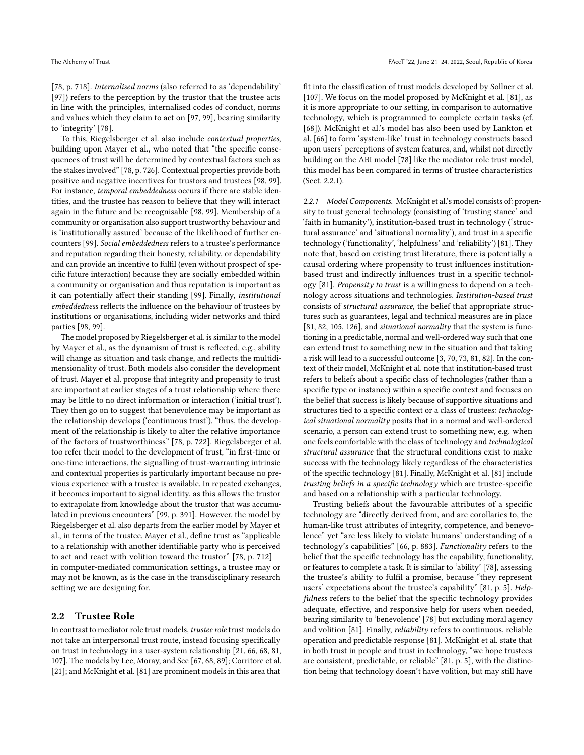[\[78,](#page-10-16) p. 718]. Internalised norms (also referred to as 'dependability' [\[97\]](#page-11-17)) refers to the perception by the trustor that the trustee acts in line with the principles, internalised codes of conduct, norms and values which they claim to act on [\[97,](#page-11-17) [99\]](#page-11-1), bearing similarity to 'integrity' [\[78\]](#page-10-16).

To this, Riegelsberger et al. also include contextual properties, building upon Mayer et al., who noted that "the specific consequences of trust will be determined by contextual factors such as the stakes involved" [\[78,](#page-10-16) p. 726]. Contextual properties provide both positive and negative incentives for trustors and trustees [\[98,](#page-11-20) [99\]](#page-11-1). For instance, temporal embeddedness occurs if there are stable identities, and the trustee has reason to believe that they will interact again in the future and be recognisable [\[98,](#page-11-20) [99\]](#page-11-1). Membership of a community or organisation also support trustworthy behaviour and is 'institutionally assured' because of the likelihood of further encounters [\[99\]](#page-11-1). Social embeddedness refers to a trustee's performance and reputation regarding their honesty, reliability, or dependability and can provide an incentive to fulfil (even without prospect of specific future interaction) because they are socially embedded within a community or organisation and thus reputation is important as it can potentially affect their standing [\[99\]](#page-11-1). Finally, institutional embeddedness reflects the influence on the behaviour of trustees by institutions or organisations, including wider networks and third parties [\[98,](#page-11-20) [99\]](#page-11-1).

The model proposed by Riegelsberger et al. is similar to the model by Mayer et al., as the dynamism of trust is reflected, e.g., ability will change as situation and task change, and reflects the multidimensionality of trust. Both models also consider the development of trust. Mayer et al. propose that integrity and propensity to trust are important at earlier stages of a trust relationship where there may be little to no direct information or interaction ('initial trust'). They then go on to suggest that benevolence may be important as the relationship develops ('continuous trust'), "thus, the development of the relationship is likely to alter the relative importance of the factors of trustworthiness" [\[78,](#page-10-16) p. 722]. Riegelsberger et al. too refer their model to the development of trust, "in first-time or one-time interactions, the signalling of trust-warranting intrinsic and contextual properties is particularly important because no previous experience with a trustee is available. In repeated exchanges, it becomes important to signal identity, as this allows the trustor to extrapolate from knowledge about the trustor that was accumulated in previous encounters" [\[99,](#page-11-1) p. 391]. However, the model by Riegelsberger et al. also departs from the earlier model by Mayer et al., in terms of the trustee. Mayer et al., define trust as "applicable to a relationship with another identifiable party who is perceived to act and react with volition toward the trustor"  $[78, p. 712]$  $[78, p. 712]$  in computer-mediated communication settings, a trustee may or may not be known, as is the case in the transdisciplinary research setting we are designing for.

#### 2.2 Trustee Role

In contrast to mediator role trust models, trustee role trust models do not take an interpersonal trust route, instead focusing specifically on trust in technology in a user-system relationship [\[21,](#page-9-18) [66,](#page-10-19) [68,](#page-10-20) [81,](#page-10-15) [107\]](#page-11-7). The models by Lee, Moray, and See [\[67,](#page-10-23) [68,](#page-10-20) [89\]](#page-11-21); Corritore et al. [\[21\]](#page-9-18); and McKnight et al. [\[81\]](#page-10-15) are prominent models in this area that

fit into the classification of trust models developed by Sollner et al. [\[107\]](#page-11-7). We focus on the model proposed by McKnight et al. [\[81\]](#page-10-15), as it is more appropriate to our setting, in comparison to automative technology, which is programmed to complete certain tasks (cf. [\[68\]](#page-10-20)). McKnight et al.'s model has also been used by Lankton et al. [\[66\]](#page-10-19) to form 'system-like' trust in technology constructs based upon users' perceptions of system features, and, whilst not directly building on the ABI model [\[78\]](#page-10-16) like the mediator role trust model, this model has been compared in terms of trustee characteristics (Sect. 2.2.1).

2.2.1 Model Components. McKnight et al.'s model consists of: propensity to trust general technology (consisting of 'trusting stance' and 'faith in humanity'), institution-based trust in technology ('structural assurance' and 'situational normality'), and trust in a specific technology ('functionality', 'helpfulness' and 'reliability') [\[81\]](#page-10-15). They note that, based on existing trust literature, there is potentially a causal ordering where propensity to trust influences institutionbased trust and indirectly influences trust in a specific technology [\[81\]](#page-10-15). Propensity to trust is a willingness to depend on a technology across situations and technologies. Institution-based trust consists of structural assurance, the belief that appropriate structures such as guarantees, legal and technical measures are in place [\[81,](#page-10-15) [82,](#page-10-4) [105,](#page-11-6) [126\]](#page-11-22), and situational normality that the system is functioning in a predictable, normal and well-ordered way such that one can extend trust to something new in the situation and that taking a risk will lead to a successful outcome [\[3,](#page-9-26) [70,](#page-10-6) [73,](#page-10-7) [81,](#page-10-15) [82\]](#page-10-4). In the context of their model, McKnight et al. note that institution-based trust refers to beliefs about a specific class of technologies (rather than a specific type or instance) within a specific context and focuses on the belief that success is likely because of supportive situations and structures tied to a specific context or a class of trustees: technological situational normality posits that in a normal and well-ordered scenario, a person can extend trust to something new, e.g. when one feels comfortable with the class of technology and technological structural assurance that the structural conditions exist to make success with the technology likely regardless of the characteristics of the specific technology [\[81\]](#page-10-15). Finally, McKnight et al. [\[81\]](#page-10-15) include trusting beliefs in a specific technology which are trustee-specific and based on a relationship with a particular technology.

Trusting beliefs about the favourable attributes of a specific technology are "directly derived from, and are corollaries to, the human-like trust attributes of integrity, competence, and benevolence" yet "are less likely to violate humans' understanding of a technology's capabilities" [\[66,](#page-10-19) p. 883]. Functionality refers to the belief that the specific technology has the capability, functionality, or features to complete a task. It is similar to 'ability' [\[78\]](#page-10-16), assessing the trustee's ability to fulfil a promise, because "they represent users' expectations about the trustee's capability" [\[81,](#page-10-15) p. 5]. Helpfulness refers to the belief that the specific technology provides adequate, effective, and responsive help for users when needed, bearing similarity to 'benevolence' [\[78\]](#page-10-16) but excluding moral agency and volition [\[81\]](#page-10-15). Finally, reliability refers to continuous, reliable operation and predictable response [\[81\]](#page-10-15). McKnight et al. state that in both trust in people and trust in technology, "we hope trustees are consistent, predictable, or reliable" [\[81,](#page-10-15) p. 5], with the distinction being that technology doesn't have volition, but may still have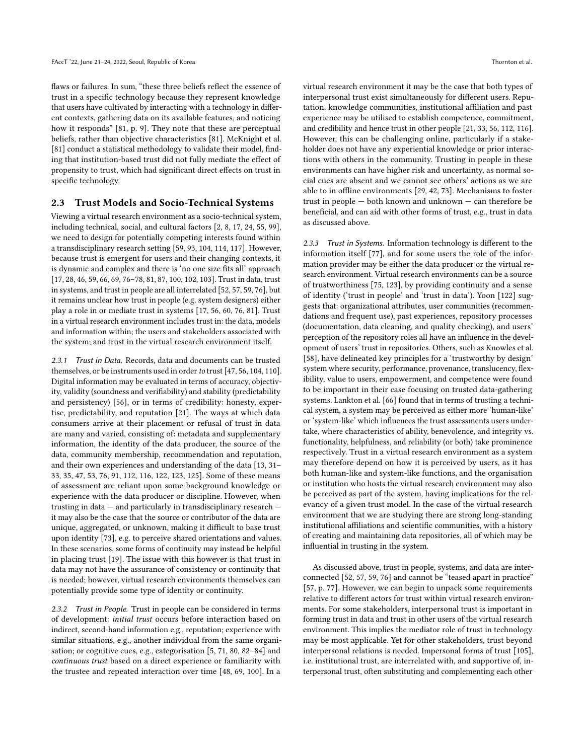flaws or failures. In sum, "these three beliefs reflect the essence of trust in a specific technology because they represent knowledge that users have cultivated by interacting with a technology in different contexts, gathering data on its available features, and noticing how it responds" [\[81,](#page-10-15) p. 9]. They note that these are perceptual beliefs, rather than objective characteristics [\[81\]](#page-10-15). McKnight et al. [\[81\]](#page-10-15) conduct a statistical methodology to validate their model, finding that institution-based trust did not fully mediate the effect of propensity to trust, which had significant direct effects on trust in specific technology.

#### 2.3 Trust Models and Socio-Technical Systems

Viewing a virtual research environment as a socio-technical system, including technical, social, and cultural factors [\[2,](#page-9-27) [8,](#page-9-28) [17,](#page-9-21) [24,](#page-9-29) [55,](#page-10-24) [99\]](#page-11-1), we need to design for potentially competing interests found within a transdisciplinary research setting [\[59,](#page-10-14) [93,](#page-11-18) [104,](#page-11-23) [114,](#page-11-3) [117\]](#page-11-24). However, because trust is emergent for users and their changing contexts, it is dynamic and complex and there is 'no one size fits all' approach [\[17,](#page-9-21) [28,](#page-9-30) [46,](#page-10-25) [59,](#page-10-14) [66,](#page-10-19) [69,](#page-10-11) [76–](#page-10-2)[78,](#page-10-16) [81,](#page-10-15) [87,](#page-11-25) [100,](#page-11-2) [102,](#page-11-26) [103\]](#page-11-27). Trust in data, trust in systems, and trust in people are all interrelated [\[52,](#page-10-26) [57,](#page-10-27) [59,](#page-10-14) [76\]](#page-10-2), but it remains unclear how trust in people (e.g. system designers) either play a role in or mediate trust in systems [\[17,](#page-9-21) [56,](#page-10-17) [60,](#page-10-18) [76,](#page-10-2) [81\]](#page-10-15). Trust in a virtual research environment includes trust in: the data, models and information within; the users and stakeholders associated with the system; and trust in the virtual research environment itself.

2.3.1 Trust in Data. Records, data and documents can be trusted themselves, or be instruments used in order to trust  $[47, 56, 104, 110]$  $[47, 56, 104, 110]$  $[47, 56, 104, 110]$  $[47, 56, 104, 110]$  $[47, 56, 104, 110]$  $[47, 56, 104, 110]$  $[47, 56, 104, 110]$ . Digital information may be evaluated in terms of accuracy, objectivity, validity (soundness and verifiability) and stability (predictability and persistency) [\[56\]](#page-10-17), or in terms of credibility: honesty, expertise, predictability, and reputation [\[21\]](#page-9-18). The ways at which data consumers arrive at their placement or refusal of trust in data are many and varied, consisting of: metadata and supplementary information, the identity of the data producer, the source of the data, community membership, recommendation and reputation, and their own experiences and understanding of the data [\[13,](#page-9-31) [31–](#page-9-32) [33,](#page-9-33) [35,](#page-9-34) [47,](#page-10-28) [53,](#page-10-10) [76,](#page-10-2) [91,](#page-11-29) [112,](#page-11-30) [116,](#page-11-4) [122,](#page-11-31) [123,](#page-11-8) [125\]](#page-11-5). Some of these means of assessment are reliant upon some background knowledge or experience with the data producer or discipline. However, when trusting in data — and particularly in transdisciplinary research it may also be the case that the source or contributor of the data are unique, aggregated, or unknown, making it difficult to base trust upon identity [\[73\]](#page-10-7), e.g. to perceive shared orientations and values. In these scenarios, some forms of continuity may instead be helpful in placing trust [\[19\]](#page-9-35). The issue with this however is that trust in data may not have the assurance of consistency or continuity that is needed; however, virtual research environments themselves can potentially provide some type of identity or continuity.

2.3.2 Trust in People. Trust in people can be considered in terms of development: initial trust occurs before interaction based on indirect, second-hand information e.g., reputation; experience with similar situations, e.g., another individual from the same organisation; or cognitive cues, e.g., categorisation [\[5,](#page-9-1) [71,](#page-10-21) [80,](#page-10-3) [82–](#page-10-4)[84\]](#page-10-5) and continuous trust based on a direct experience or familiarity with the trustee and repeated interaction over time [\[48,](#page-10-29) [69,](#page-10-11) [100\]](#page-11-2). In a

virtual research environment it may be the case that both types of interpersonal trust exist simultaneously for different users. Reputation, knowledge communities, institutional affiliation and past experience may be utilised to establish competence, commitment, and credibility and hence trust in other people [\[21,](#page-9-18) [33,](#page-9-33) [56,](#page-10-17) [112,](#page-11-30) [116\]](#page-11-4). However, this can be challenging online, particularly if a stakeholder does not have any experiential knowledge or prior interactions with others in the community. Trusting in people in these environments can have higher risk and uncertainty, as normal social cues are absent and we cannot see others' actions as we are able to in offline environments [\[29,](#page-9-36) [42,](#page-10-30) [73\]](#page-10-7). Mechanisms to foster trust in people — both known and unknown — can therefore be beneficial, and can aid with other forms of trust, e.g., trust in data as discussed above.

2.3.3 Trust in Systems. Information technology is different to the information itself [\[77\]](#page-10-12), and for some users the role of the information provider may be either the data producer or the virtual research environment. Virtual research environments can be a source of trustworthiness [\[75,](#page-10-31) [123\]](#page-11-8), by providing continuity and a sense of identity ('trust in people' and 'trust in data'). Yoon [\[122\]](#page-11-31) suggests that: organizational attributes, user communities (recommendations and frequent use), past experiences, repository processes (documentation, data cleaning, and quality checking), and users' perception of the repository roles all have an influence in the development of users' trust in repositories. Others, such as Knowles et al. [\[58\]](#page-10-1), have delineated key principles for a 'trustworthy by design' system where security, performance, provenance, translucency, flexibility, value to users, empowerment, and competence were found to be important in their case focusing on trusted data-gathering systems. Lankton et al. [\[66\]](#page-10-19) found that in terms of trusting a technical system, a system may be perceived as either more 'human-like' or 'system-like' which influences the trust assessments users undertake, where characteristics of ability, benevolence, and integrity vs. functionality, helpfulness, and reliability (or both) take prominence respectively. Trust in a virtual research environment as a system may therefore depend on how it is perceived by users, as it has both human-like and system-like functions, and the organisation or institution who hosts the virtual research environment may also be perceived as part of the system, having implications for the relevancy of a given trust model. In the case of the virtual research environment that we are studying there are strong long-standing institutional affiliations and scientific communities, with a history of creating and maintaining data repositories, all of which may be influential in trusting in the system.

As discussed above, trust in people, systems, and data are interconnected [\[52,](#page-10-26) [57,](#page-10-27) [59,](#page-10-14) [76\]](#page-10-2) and cannot be "teased apart in practice" [\[57,](#page-10-27) p. 77]. However, we can begin to unpack some requirements relative to different actors for trust within virtual research environments. For some stakeholders, interpersonal trust is important in forming trust in data and trust in other users of the virtual research environment. This implies the mediator role of trust in technology may be most applicable. Yet for other stakeholders, trust beyond interpersonal relations is needed. Impersonal forms of trust [\[105\]](#page-11-6), i.e. institutional trust, are interrelated with, and supportive of, interpersonal trust, often substituting and complementing each other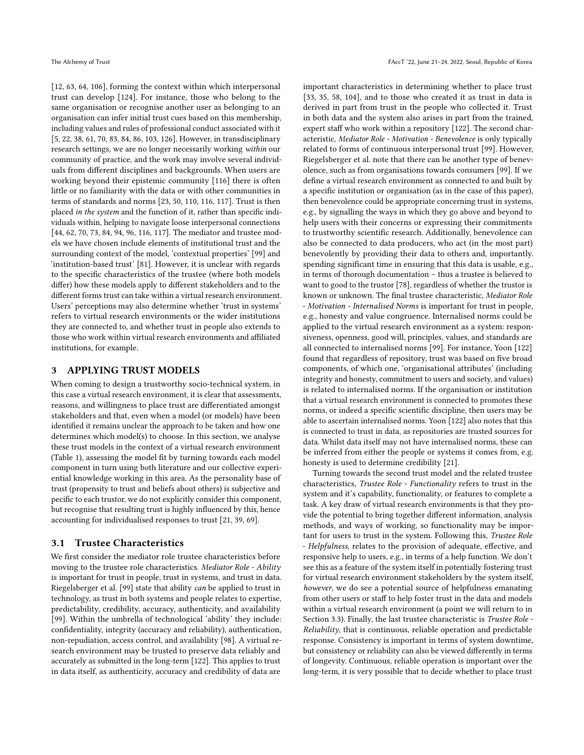[\[12,](#page-9-15) [63,](#page-10-32) [64,](#page-10-33) [106\]](#page-11-32), forming the context within which interpersonal trust can develop [\[124\]](#page-11-33). For instance, those who belong to the same organisation or recognise another user as belonging to an organisation can infer initial trust cues based on this membership, including values and rules of professional conduct associated with it [\[5,](#page-9-1) [22,](#page-9-37) [38,](#page-9-38) [61,](#page-10-34) [70,](#page-10-6) [83,](#page-10-35) [84,](#page-10-5) [86,](#page-10-36) [103,](#page-11-27) [126\]](#page-11-22). However, in transdisciplinary research settings, we are no longer necessarily working within our community of practice, and the work may involve several individuals from different disciplines and backgrounds. When users are working beyond their epistemic community [\[116\]](#page-11-4) there is often little or no familiarity with the data or with other communities in terms of standards and norms [\[23,](#page-9-9) [50,](#page-10-37) [110,](#page-11-28) [116,](#page-11-4) [117\]](#page-11-24). Trust is then placed in the system and the function of it, rather than specific individuals within, helping to navigate loose interpersonal connections [\[44,](#page-10-38) [62,](#page-10-39) [70,](#page-10-6) [73,](#page-10-7) [84,](#page-10-5) [94,](#page-11-34) [96,](#page-11-35) [116,](#page-11-4) [117\]](#page-11-24). The mediator and trustee models we have chosen include elements of institutional trust and the surrounding context of the model, 'contextual properties' [\[99\]](#page-11-1) and 'institution-based trust' [\[81\]](#page-10-15). However, it is unclear with regards to the specific characteristics of the trustee (where both models differ) how these models apply to different stakeholders and to the different forms trust can take within a virtual research environment. Users' perceptions may also determine whether 'trust in systems' refers to virtual research environments or the wider institutions they are connected to, and whether trust in people also extends to those who work within virtual research environments and affiliated institutions, for example.

## <span id="page-4-0"></span>3 APPLYING TRUST MODELS

When coming to design a trustworthy socio-technical system, in this case a virtual research environment, it is clear that assessments, reasons, and willingness to place trust are differentiated amongst stakeholders and that, even when a model (or models) have been identified it remains unclear the approach to be taken and how one determines which model(s) to choose. In this section, we analyse these trust models in the context of a virtual research environment (Table [1\)](#page-5-0), assessing the model fit by turning towards each model component in turn using both literature and our collective experiential knowledge working in this area. As the personality base of trust (propensity to trust and beliefs about others) is subjective and pecific to each trustor, we do not explicitly consider this component, but recognise that resulting trust is highly influenced by this, hence accounting for individualised responses to trust [\[21,](#page-9-18) [39,](#page-9-39) [69\]](#page-10-11).

#### 3.1 Trustee Characteristics

We first consider the mediator role trustee characteristics before moving to the trustee role characteristics. Mediator Role - Ability is important for trust in people, trust in systems, and trust in data. Riegelsberger et al. [\[99\]](#page-11-1) state that ability can be applied to trust in technology, as trust in both systems and people relates to expertise, predictability, credibility, accuracy, authenticity, and availability [\[99\]](#page-11-1). Within the umbrella of technological 'ability' they include: confidentiality, integrity (accuracy and reliability), authentication, non-repudiation, access control, and availability [\[98\]](#page-11-20). A virtual research environment may be trusted to preserve data reliably and accurately as submitted in the long-term [\[122\]](#page-11-31). This applies to trust in data itself, as authenticity, accuracy and credibility of data are

important characteristics in determining whether to place trust [\[33,](#page-9-33) [35,](#page-9-34) [58,](#page-10-1) [104\]](#page-11-23), and to those who created it as trust in data is derived in part from trust in the people who collected it. Trust in both data and the system also arises in part from the trained, expert staff who work within a repository [\[122\]](#page-11-31). The second characteristic, Mediator Role - Motivation - Benevolence is only typically related to forms of continuous interpersonal trust [\[99\]](#page-11-1). However, Riegelsberger et al. note that there can be another type of benevolence, such as from organisations towards consumers [\[99\]](#page-11-1). If we define a virtual research environment as connected to and built by a specific institution or organisation (as in the case of this paper), then benevolence could be appropriate concerning trust in systems, e.g., by signalling the ways in which they go above and beyond to help users with their concerns or expressing their commitments to trustworthy scientific research. Additionally, benevolence can also be connected to data producers, who act (in the most part) benevolently by providing their data to others and, importantly. spending significant time in ensuring that this data is usable, e.g., in terms of thorough documentation – thus a trustee is believed to want to good to the trustor [\[78\]](#page-10-16), regardless of whether the trustor is known or unknown. The final trustee characteristic, Mediator Role - Motivation - Internalised Norms is important for trust in people, e.g., honesty and value congruence. Internalised norms could be applied to the virtual research environment as a system: responsiveness, openness, good will, principles, values, and standards are all connected to internalised norms [\[99\]](#page-11-1). For instance, Yoon [\[122\]](#page-11-31) found that regardless of repository, trust was based on five broad components, of which one, 'organisational attributes' (including integrity and honesty, commitment to users and society, and values) is related to internalised norms. If the organisation or institution that a virtual research environment is connected to promotes these norms, or indeed a specific scientific discipline, then users may be able to ascertain internalised norms. Yoon [\[122\]](#page-11-31) also notes that this is connected to trust in data, as repositories are trusted sources for data. Whilst data itself may not have internalised norms, these can be inferred from either the people or systems it comes from, e.g. honesty is used to determine credibility [\[21\]](#page-9-18).

Turning towards the second trust model and the related trustee characteristics, Trustee Role - Functionality refers to trust in the system and it's capability, functionality, or features to complete a task. A key draw of virtual research environments is that they provide the potential to bring together different information, analysis methods, and ways of working, so functionality may be important for users to trust in the system. Following this, Trustee Role - Helpfulness, relates to the provision of adequate, effective, and responsive help to users, e.g., in terms of a help function. We don't see this as a feature of the system itself in potentially fostering trust for virtual research environment stakeholders by the system itself, however, we do see a potential source of helpfulness emanating from other users or staff to help foster trust in the data and models within a virtual research environment (a point we will return to in Section 3.3). Finally, the last trustee characteristic is Trustee Role - Reliability, that is continuous, reliable operation and predictable response. Consistency is important in terms of system downtime, but consistency or reliability can also be viewed differently in terms of longevity. Continuous, reliable operation is important over the long-term, it is very possible that to decide whether to place trust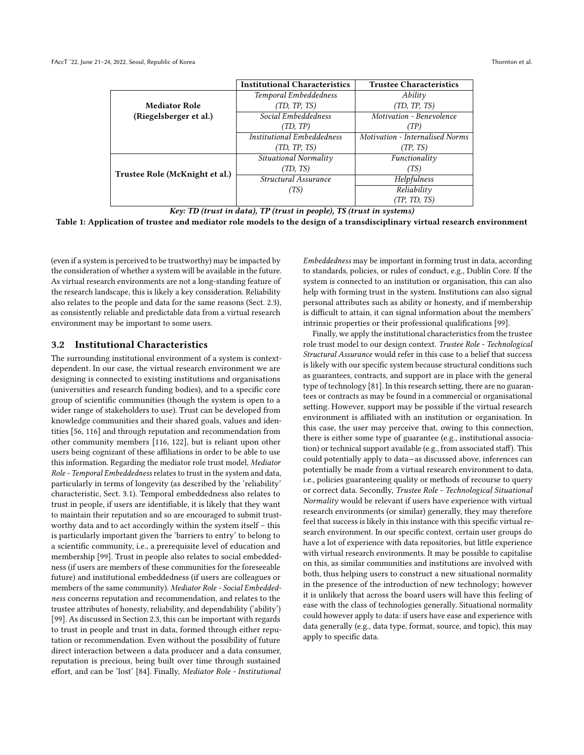<span id="page-5-0"></span>

|                                | <b>Institutional Characteristics</b> | <b>Trustee Characteristics</b>  |
|--------------------------------|--------------------------------------|---------------------------------|
|                                | Temporal Embeddedness                | $A \, b \, il \, i \, \nu$      |
| Mediator Role                  | (TD, TP, TS)                         | (TD, TP, TS)                    |
| (Riegelsberger et al.)         | Social Embeddedness                  | Motivation - Benevolence        |
|                                | (TD, TP)                             | (TP)                            |
|                                | Institutional Embeddedness           | Motivation - Internalised Norms |
|                                | (TD, TP, TS)                         | (TP, TS)                        |
| Trustee Role (McKnight et al.) | Situational Normality                | Functionality                   |
|                                | (TD, TS)                             | (TS)                            |
|                                | Structural Assurance                 | Helpfulness                     |
|                                | (TS)                                 | Reliability                     |
|                                |                                      | (TP, TD, TS)                    |

Key: TD (trust in data), TP (trust in people), TS (trust in systems)

Table 1: Application of trustee and mediator role models to the design of a transdisciplinary virtual research environment

(even if a system is perceived to be trustworthy) may be impacted by the consideration of whether a system will be available in the future. As virtual research environments are not a long-standing feature of the research landscape, this is likely a key consideration. Reliability also relates to the people and data for the same reasons (Sect. 2.3), as consistently reliable and predictable data from a virtual research environment may be important to some users.

#### 3.2 Institutional Characteristics

The surrounding institutional environment of a system is contextdependent. In our case, the virtual research environment we are designing is connected to existing institutions and organisations (universities and research funding bodies), and to a specific core group of scientific communities (though the system is open to a wider range of stakeholders to use). Trust can be developed from knowledge communities and their shared goals, values and identities [\[56,](#page-10-17) [116\]](#page-11-4) and through reputation and recommendation from other community members [\[116,](#page-11-4) [122\]](#page-11-31), but is reliant upon other users being cognizant of these affiliations in order to be able to use this information. Regarding the mediator role trust model, Mediator Role - Temporal Embeddedness relates to trust in the system and data, particularly in terms of longevity (as described by the 'reliability' characteristic, Sect. 3.1). Temporal embeddedness also relates to trust in people, if users are identifiable, it is likely that they want to maintain their reputation and so are encouraged to submit trustworthy data and to act accordingly within the system itself – this is particularly important given the 'barriers to entry' to belong to a scientific community, i.e., a prerequisite level of education and membership [\[99\]](#page-11-1). Trust in people also relates to social embeddedness (if users are members of these communities for the foreseeable future) and institutional embeddedness (if users are colleagues or members of the same community). Mediator Role - Social Embeddedness concerns reputation and recommendation, and relates to the trustee attributes of honesty, reliability, and dependability ('ability') [\[99\]](#page-11-1). As discussed in Section 2.3, this can be important with regards to trust in people and trust in data, formed through either reputation or recommendation. Even without the possibility of future direct interaction between a data producer and a data consumer, reputation is precious, being built over time through sustained effort, and can be 'lost' [\[84\]](#page-10-5). Finally, Mediator Role - Institutional

Embeddedness may be important in forming trust in data, according to standards, policies, or rules of conduct, e.g., Dublin Core. If the system is connected to an institution or organisation, this can also help with forming trust in the system. Institutions can also signal personal attributes such as ability or honesty, and if membership is difficult to attain, it can signal information about the members' intrinsic properties or their professional qualifications [\[99\]](#page-11-1).

Finally, we apply the institutional characteristics from the trustee role trust model to our design context. Trustee Role - Technological Structural Assurance would refer in this case to a belief that success is likely with our specific system because structural conditions such as guarantees, contracts, and support are in place with the general type of technology [\[81\]](#page-10-15). In this research setting, there are no guarantees or contracts as may be found in a commercial or organisational setting. However, support may be possible if the virtual research environment is affiliated with an institution or organisation. In this case, the user may perceive that, owing to this connection, there is either some type of guarantee (e.g., institutional association) or technical support available (e.g., from associated staff). This could potentially apply to data—as discussed above, inferences can potentially be made from a virtual research environment to data, i.e., policies guaranteeing quality or methods of recourse to query or correct data. Secondly, Trustee Role - Technological Situational Normality would be relevant if users have experience with virtual research environments (or similar) generally, they may therefore feel that success is likely in this instance with this specific virtual research environment. In our specific context, certain user groups do have a lot of experience with data repositories, but little experience with virtual research environments. It may be possible to capitalise on this, as similar communities and institutions are involved with both, thus helping users to construct a new situational normality in the presence of the introduction of new technology; however it is unlikely that across the board users will have this feeling of ease with the class of technologies generally. Situational normality could however apply to data: if users have ease and experience with data generally (e.g., data type, format, source, and topic), this may apply to specific data.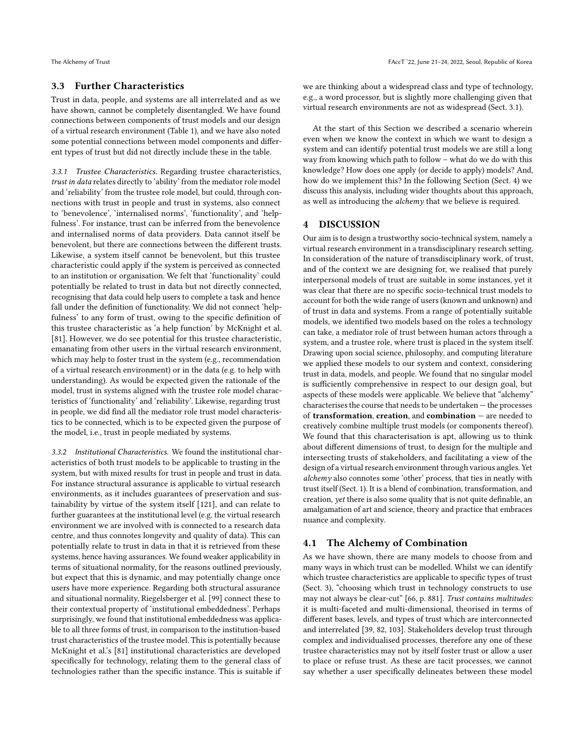#### 3.3 Further Characteristics

Trust in data, people, and systems are all interrelated and as we have shown, cannot be completely disentangled. We have found connections between components of trust models and our design of a virtual research environment (Table [1\)](#page-5-0), and we have also noted some potential connections between model components and different types of trust but did not directly include these in the table.

3.3.1 Trustee Characteristics. Regarding trustee characteristics, trust in data relates directly to 'ability' from the mediator role model and 'reliability' from the trustee role model, but could, through connections with trust in people and trust in systems, also connect to 'benevolence', 'internalised norms', 'functionality', and 'helpfulness'. For instance, trust can be inferred from the benevolence and internalised norms of data providers. Data cannot itself be benevolent, but there are connections between the different trusts. Likewise, a system itself cannot be benevolent, but this trustee characteristic could apply if the system is perceived as connected to an institution or organisation. We felt that 'functionality' could potentially be related to trust in data but not directly connected, recognising that data could help users to complete a task and hence fall under the definition of functionality. We did not connect 'helpfulness' to any form of trust, owing to the specific definition of this trustee characteristic as 'a help function' by McKnight et al. [\[81\]](#page-10-15). However, we do see potential for this trustee characteristic, emanating from other users in the virtual research environment, which may help to foster trust in the system (e.g., recommendation of a virtual research environment) or in the data (e.g. to help with understanding). As would be expected given the rationale of the model, trust in systems aligned with the trustee role model characteristics of 'functionality' and 'reliability'. Likewise, regarding trust in people, we did find all the mediator role trust model characteristics to be connected, which is to be expected given the purpose of the model, i.e., trust in people mediated by systems.

3.3.2 Institutional Characteristics. We found the institutional characteristics of both trust models to be applicable to trusting in the system, but with mixed results for trust in people and trust in data. For instance structural assurance is applicable to virtual research environments, as it includes guarantees of preservation and sustainability by virtue of the system itself [\[121\]](#page-11-36), and can relate to further guarantees at the institutional level (e.g. the virtual research environment we are involved with is connected to a research data centre, and thus connotes longevity and quality of data). This can potentially relate to trust in data in that it is retrieved from these systems, hence having assurances. We found weaker applicability in terms of situational normality, for the reasons outlined previously, but expect that this is dynamic, and may potentially change once users have more experience. Regarding both structural assurance and situational normality, Riegelsberger et al. [\[99\]](#page-11-1) connect these to their contextual property of 'institutional embeddedness'. Perhaps surprisingly, we found that institutional embeddedness was applicable to all three forms of trust, in comparison to the institution-based trust characteristics of the trustee model. This is potentially because McKnight et al.'s [\[81\]](#page-10-15) institutional characteristics are developed specifically for technology, relating them to the general class of technologies rather than the specific instance. This is suitable if

we are thinking about a widespread class and type of technology, e.g., a word processor, but is slightly more challenging given that virtual research environments are not as widespread (Sect. 3.1).

At the start of this Section we described a scenario wherein even when we know the context in which we want to design a system and can identify potential trust models we are still a long way from knowing which path to follow – what do we do with this knowledge? How does one apply (or decide to apply) models? And, how do we implement this? In the following Section (Sect. [4\)](#page-6-0) we discuss this analysis, including wider thoughts about this approach, as well as introducing the alchemy that we believe is required.

#### <span id="page-6-0"></span>4 DISCUSSION

Our aim is to design a trustworthy socio-technical system, namely a virtual research environment in a transdisciplinary research setting. In consideration of the nature of transdisciplinary work, of trust, and of the context we are designing for, we realised that purely interpersonal models of trust are suitable in some instances, yet it was clear that there are no specific socio-technical trust models to account for both the wide range of users (known and unknown) and of trust in data and systems. From a range of potentially suitable models, we identified two models based on the roles a technology can take, a mediator role of trust between human actors through a system, and a trustee role, where trust is placed in the system itself. Drawing upon social science, philosophy, and computing literature we applied these models to our system and context, considering trust in data, models, and people. We found that no singular model is sufficiently comprehensive in respect to our design goal, but aspects of these models were applicable. We believe that "alchemy" characterises the course that needs to be undertaken — the processes of transformation, creation, and combination — are needed to creatively combine multiple trust models (or components thereof). We found that this characterisation is apt, allowing us to think about different dimensions of trust, to design for the multiple and intersecting trusts of stakeholders, and facilitating a view of the design of a virtual research environment through various angles. Yet alchemy also connotes some 'other' process, that ties in neatly with trust itself (Sect. [1\)](#page-0-0). It is a blend of combination, transformation, and creation, yet there is also some quality that is not quite definable, an amalgamation of art and science, theory and practice that embraces nuance and complexity.

### 4.1 The Alchemy of Combination

As we have shown, there are many models to choose from and many ways in which trust can be modelled. Whilst we can identify which trustee characteristics are applicable to specific types of trust (Sect. [3\)](#page-4-0), "choosing which trust in technology constructs to use may not always be clear-cut" [\[66,](#page-10-19) p. 881]. Trust contains multitudes: it is multi-faceted and multi-dimensional, theorised in terms of different bases, levels, and types of trust which are interconnected and interrelated [\[39,](#page-9-39) [82,](#page-10-4) [103\]](#page-11-27). Stakeholders develop trust through complex and individualised processes, therefore any one of these trustee characteristics may not by itself foster trust or allow a user to place or refuse trust. As these are tacit processes, we cannot say whether a user specifically delineates between these model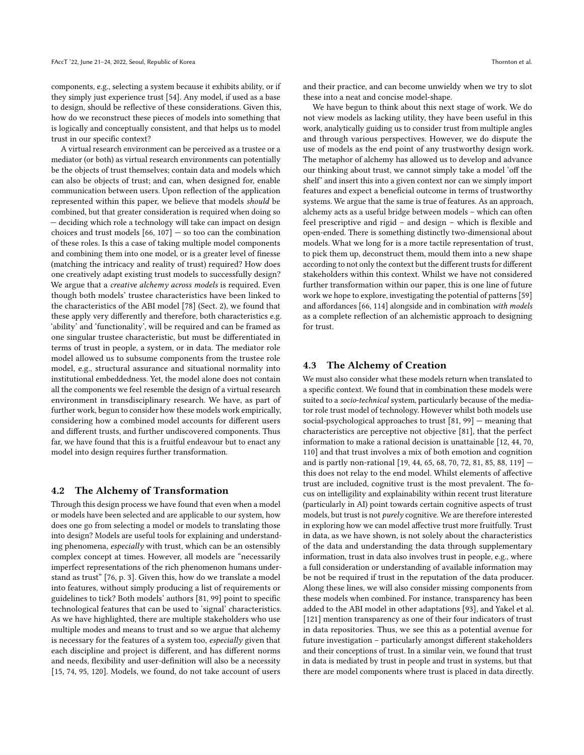components, e.g., selecting a system because it exhibits ability, or if they simply just experience trust [\[54\]](#page-10-40). Any model, if used as a base to design, should be reflective of these considerations. Given this, how do we reconstruct these pieces of models into something that is logically and conceptually consistent, and that helps us to model trust in our specific context?

A virtual research environment can be perceived as a trustee or a mediator (or both) as virtual research environments can potentially be the objects of trust themselves; contain data and models which can also be objects of trust; and can, when designed for, enable communication between users. Upon reflection of the application represented within this paper, we believe that models should be combined, but that greater consideration is required when doing so — deciding which role a technology will take can impact on design choices and trust models  $[66, 107]$  $[66, 107]$  $[66, 107]$  – so too can the combination of these roles. Is this a case of taking multiple model components and combining them into one model, or is a greater level of finesse (matching the intricacy and reality of trust) required? How does one creatively adapt existing trust models to successfully design? We argue that a *creative alchemy across models* is required. Even though both models' trustee characteristics have been linked to the characteristics of the ABI model [\[78\]](#page-10-16) (Sect. [2\)](#page-1-0), we found that these apply very differently and therefore, both characteristics e.g. 'ability' and 'functionality', will be required and can be framed as one singular trustee characteristic, but must be differentiated in terms of trust in people, a system, or in data. The mediator role model allowed us to subsume components from the trustee role model, e.g., structural assurance and situational normality into institutional embeddedness. Yet, the model alone does not contain all the components we feel resemble the design of a virtual research environment in transdisciplinary research. We have, as part of further work, begun to consider how these models work empirically, considering how a combined model accounts for different users and different trusts, and further undiscovered components. Thus far, we have found that this is a fruitful endeavour but to enact any model into design requires further transformation.

#### 4.2 The Alchemy of Transformation

Through this design process we have found that even when a model or models have been selected and are applicable to our system, how does one go from selecting a model or models to translating those into design? Models are useful tools for explaining and understanding phenomena, especially with trust, which can be an ostensibly complex concept at times. However, all models are "necessarily imperfect representations of the rich phenomenon humans understand as trust" [\[76,](#page-10-2) p. 3]. Given this, how do we translate a model into features, without simply producing a list of requirements or guidelines to tick? Both models' authors [\[81,](#page-10-15) [99\]](#page-11-1) point to specific technological features that can be used to 'signal' characteristics. As we have highlighted, there are multiple stakeholders who use multiple modes and means to trust and so we argue that alchemy is necessary for the features of a system too, especially given that each discipline and project is different, and has different norms and needs, flexibility and user-definition will also be a necessity [\[15,](#page-9-4) [74,](#page-10-41) [95,](#page-11-37) [120\]](#page-11-38). Models, we found, do not take account of users

and their practice, and can become unwieldy when we try to slot these into a neat and concise model-shape.

We have begun to think about this next stage of work. We do not view models as lacking utility, they have been useful in this work, analytically guiding us to consider trust from multiple angles and through various perspectives. However, we do dispute the use of models as the end point of any trustworthy design work. The metaphor of alchemy has allowed us to develop and advance our thinking about trust, we cannot simply take a model 'off the shelf' and insert this into a given context nor can we simply import features and expect a beneficial outcome in terms of trustworthy systems. We argue that the same is true of features. As an approach, alchemy acts as a useful bridge between models – which can often feel prescriptive and rigid – and design – which is flexible and open-ended. There is something distinctly two-dimensional about models. What we long for is a more tactile representation of trust, to pick them up, deconstruct them, mould them into a new shape according to not only the context but the different trusts for different stakeholders within this context. Whilst we have not considered further transformation within our paper, this is one line of future work we hope to explore, investigating the potential of patterns [\[59\]](#page-10-14) and affordances [\[66,](#page-10-19) [114\]](#page-11-3) alongside and in combination with models as a complete reflection of an alchemistic approach to designing for trust.

#### 4.3 The Alchemy of Creation

We must also consider what these models return when translated to a specific context. We found that in combination these models were suited to a socio-technical system, particularly because of the mediator role trust model of technology. However whilst both models use social-psychological approaches to trust [\[81,](#page-10-15) [99\]](#page-11-1) — meaning that characteristics are perceptive not objective [\[81\]](#page-10-15), that the perfect information to make a rational decision is unattainable [\[12,](#page-9-15) [44,](#page-10-38) [70,](#page-10-6) [110\]](#page-11-28) and that trust involves a mix of both emotion and cognition and is partly non-rational [\[19,](#page-9-35) [44,](#page-10-38) [65,](#page-10-42) [68,](#page-10-20) [70,](#page-10-6) [72,](#page-10-43) [81,](#page-10-15) [85,](#page-10-44) [88,](#page-11-39) [119\]](#page-11-40) this does not relay to the end model. Whilst elements of affective trust are included, cognitive trust is the most prevalent. The focus on intelligility and explainability within recent trust literature (particularly in AI) point towards certain cognitive aspects of trust models, but trust is not purely cognitive. We are therefore interested in exploring how we can model affective trust more fruitfully. Trust in data, as we have shown, is not solely about the characteristics of the data and understanding the data through supplementary information, trust in data also involves trust in people, e.g., where a full consideration or understanding of available information may be not be required if trust in the reputation of the data producer. Along these lines, we will also consider missing components from these models when combined. For instance, transparency has been added to the ABI model in other adaptations [\[93\]](#page-11-18), and Yakel et al. [\[121\]](#page-11-36) mention transparency as one of their four indicators of trust in data repositories. Thus, we see this as a potential avenue for future investigation – particularly amongst different stakeholders and their conceptions of trust. In a similar vein, we found that trust in data is mediated by trust in people and trust in systems, but that there are model components where trust is placed in data directly.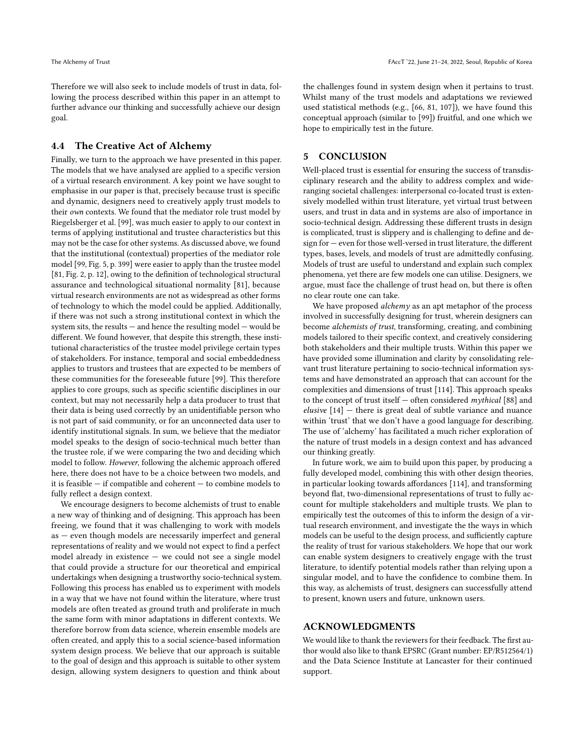Therefore we will also seek to include models of trust in data, following the process described within this paper in an attempt to further advance our thinking and successfully achieve our design goal.

## 4.4 The Creative Act of Alchemy

Finally, we turn to the approach we have presented in this paper. The models that we have analysed are applied to a specific version of a virtual research environment. A key point we have sought to emphasise in our paper is that, precisely because trust is specific and dynamic, designers need to creatively apply trust models to their own contexts. We found that the mediator role trust model by Riegelsberger et al. [\[99\]](#page-11-1), was much easier to apply to our context in terms of applying institutional and trustee characteristics but this may not be the case for other systems. As discussed above, we found that the institutional (contextual) properties of the mediator role model [\[99,](#page-11-1) Fig. 5, p. 399] were easier to apply than the trustee model [\[81,](#page-10-15) Fig. 2, p. 12], owing to the definition of technological structural assurance and technological situational normality [\[81\]](#page-10-15), because virtual research environments are not as widespread as other forms of technology to which the model could be applied. Additionally, if there was not such a strong institutional context in which the system sits, the results — and hence the resulting model — would be different. We found however, that despite this strength, these institutional characteristics of the trustee model privilege certain types of stakeholders. For instance, temporal and social embeddedness applies to trustors and trustees that are expected to be members of these communities for the foreseeable future [\[99\]](#page-11-1). This therefore applies to core groups, such as specific scientific disciplines in our context, but may not necessarily help a data producer to trust that their data is being used correctly by an unidentifiable person who is not part of said community, or for an unconnected data user to identify institutional signals. In sum, we believe that the mediator model speaks to the design of socio-technical much better than the trustee role, if we were comparing the two and deciding which model to follow. However, following the alchemic approach offered here, there does not have to be a choice between two models, and it is feasible — if compatible and coherent — to combine models to fully reflect a design context.

We encourage designers to become alchemists of trust to enable a new way of thinking and of designing. This approach has been freeing, we found that it was challenging to work with models as — even though models are necessarily imperfect and general representations of reality and we would not expect to find a perfect model already in existence — we could not see a single model that could provide a structure for our theoretical and empirical undertakings when designing a trustworthy socio-technical system. Following this process has enabled us to experiment with models in a way that we have not found within the literature, where trust models are often treated as ground truth and proliferate in much the same form with minor adaptations in different contexts. We therefore borrow from data science, wherein ensemble models are often created, and apply this to a social science-based information system design process. We believe that our approach is suitable to the goal of design and this approach is suitable to other system design, allowing system designers to question and think about

the challenges found in system design when it pertains to trust. Whilst many of the trust models and adaptations we reviewed used statistical methods (e.g., [\[66,](#page-10-19) [81,](#page-10-15) [107\]](#page-11-7)), we have found this conceptual approach (similar to [\[99\]](#page-11-1)) fruitful, and one which we hope to empirically test in the future.

## 5 CONCLUSION

Well-placed trust is essential for ensuring the success of transdisciplinary research and the ability to address complex and wideranging societal challenges: interpersonal co-located trust is extensively modelled within trust literature, yet virtual trust between users, and trust in data and in systems are also of importance in socio-technical design. Addressing these different trusts in design is complicated, trust is slippery and is challenging to define and design for — even for those well-versed in trust literature, the different types, bases, levels, and models of trust are admittedly confusing. Models of trust are useful to understand and explain such complex phenomena, yet there are few models one can utilise. Designers, we argue, must face the challenge of trust head on, but there is often no clear route one can take.

We have proposed  $alchemy$  as an apt metaphor of the process involved in successfully designing for trust, wherein designers can become alchemists of trust, transforming, creating, and combining models tailored to their specific context, and creatively considering both stakeholders and their multiple trusts. Within this paper we have provided some illumination and clarity by consolidating relevant trust literature pertaining to socio-technical information systems and have demonstrated an approach that can account for the complexities and dimensions of trust [\[114\]](#page-11-3). This approach speaks to the concept of trust itself  $-$  often considered mythical [\[88\]](#page-11-39) and elusive  $[14]$  – there is great deal of subtle variance and nuance within 'trust' that we don't have a good language for describing. The use of 'alchemy' has facilitated a much richer exploration of the nature of trust models in a design context and has advanced our thinking greatly.

In future work, we aim to build upon this paper, by producing a fully developed model, combining this with other design theories, in particular looking towards affordances [\[114\]](#page-11-3), and transforming beyond flat, two-dimensional representations of trust to fully account for multiple stakeholders and multiple trusts. We plan to empirically test the outcomes of this to inform the design of a virtual research environment, and investigate the the ways in which models can be useful to the design process, and sufficiently capture the reality of trust for various stakeholders. We hope that our work can enable system designers to creatively engage with the trust literature, to identify potential models rather than relying upon a singular model, and to have the confidence to combine them. In this way, as alchemists of trust, designers can successfully attend to present, known users and future, unknown users.

#### ACKNOWLEDGMENTS

We would like to thank the reviewers for their feedback. The first author would also like to thank EPSRC (Grant number: EP/R512564/1) and the Data Science Institute at Lancaster for their continued support.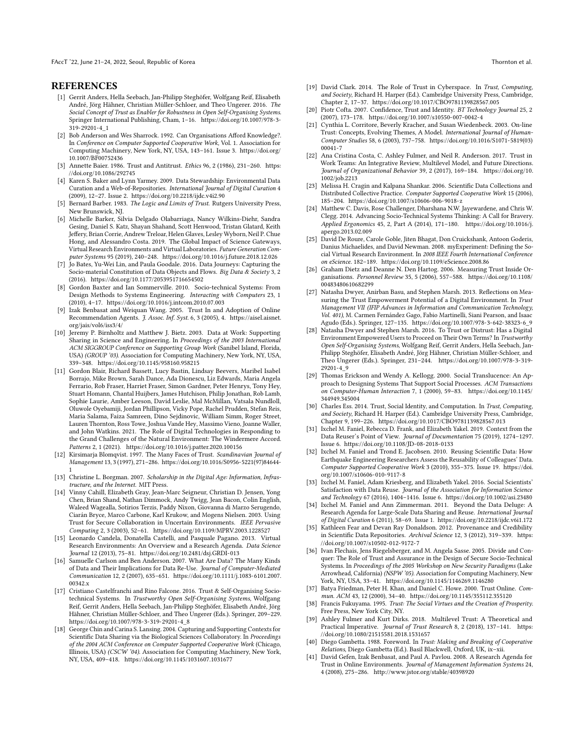FAccT '22, June 21–24, 2022, Seoul, Republic of Korea Thornton et al. and the Second League Thornton et al.

#### **REFERENCES**

- <span id="page-9-20"></span>[1] Gerrit Anders, Hella Seebach, Jan-Philipp Steghöfer, Wolfgang Reif, Elisabeth André, Jörg Hähner, Christian Müller-Schloer, and Theo Ungerer. 2016. The Social Concept of Trust as Enabler for Robustness in Open Self-Organising Systems. Springer International Publishing, Cham, 1–16. [https://doi.org/10.1007/978-3-](https://doi.org/10.1007/978-3-319-29201-4_1) [319-29201-4\\_1](https://doi.org/10.1007/978-3-319-29201-4_1)
- <span id="page-9-27"></span>[2] Bob Anderson and Wes Sharrock. 1992. Can Organisations Afford Knowledge?. In Conference on Computer Supported Cooperative Work, Vol. 1. Association for Computing Machinery, New York, NY, USA, 143–161. Issue 3. [https://doi.org/](https://doi.org/10.1007/BF00752436) [10.1007/BF00752436](https://doi.org/10.1007/BF00752436)
- <span id="page-9-26"></span>Annette Baier. 1986. Trust and Antitrust. Ethics 96, 2 (1986), 231-260. [https:](https://doi.org/10.1086/292745) [//doi.org/10.1086/292745](https://doi.org/10.1086/292745)
- <span id="page-9-10"></span>[4] Karen S. Baker and Lynn Yarmey. 2009. Data Stewardship: Environmental Data Curation and a Web-of-Repositories. International Journal of Digital Curation 4 (2009), 12–27. Issue 2.<https://doi.org/10.2218/ijdc.v4i2.90>
- <span id="page-9-1"></span>[5] Bernard Barber. 1983. The Logic and Limits of Trust. Rutgers University Press, New Brunswick, NJ.
- <span id="page-9-8"></span>[6] Michelle Barker, Silvia Delgado Olabarriaga, Nancy Wilkins-Diehr, Sandra Gesing, Daniel S. Katz, Shayan Shahand, Scott Henwood, Tristan Glatard, Keith Jeffery, Brian Corrie, Andrew Treloar, Helen Glaves, Lesley Wyborn, Neil P. Chue Hong, and Alessandro Costa. 2019. The Global Impact of Science Gateways, Virtual Research Environments and Virtual Laboratories. Future Generation Computer Systems 95 (2019), 240–248.<https://doi.org/10.1016/j.future.2018.12.026>
- <span id="page-9-13"></span>[7] Jo Bates, Yu-Wei Lin, and Paula Goodale. 2016. Data Journeys: Capturing the Socio-material Constitution of Data Objects and Flows. Big Data & Society 3, 2 (2016).<https://doi.org/10.1177/2053951716654502>
- <span id="page-9-28"></span>[8] Gordon Baxter and Ian Sommerville. 2010. Socio-technical Systems: From Design Methods to Systems Engineering. Interacting with Computers 23, 1 (2010), 4–17.<https://doi.org/10.1016/j.intcom.2010.07.003>
- <span id="page-9-25"></span>[9] Izak Benbasat and Weiquan Wang. 2005. Trust In and Adoption of Online Recommendation Agents. J. Assoc. Inf. Syst. 6, 3 (2005), 4. [https://aisel.aisnet.](https://aisel.aisnet.org/jais/vol6/iss3/4/) [org/jais/vol6/iss3/4/](https://aisel.aisnet.org/jais/vol6/iss3/4/)
- <span id="page-9-6"></span>[10] Jeremy P. Birnholtz and Matthew J. Bietz. 2003. Data at Work: Supporting Sharing in Science and Engineering. In Proceedings of the 2003 International ACM SIGGROUP Conference on Supporting Group Work (Sanibel Island, Florida, USA) (GROUP '03). Association for Computing Machinery, New York, NY, USA, 339–348.<https://doi.org/10.1145/958160.958215>
- <span id="page-9-11"></span>[11] Gordon Blair, Richard Bassett, Lucy Bastin, Lindsay Beevers, Maribel Isabel Borrajo, Mike Brown, Sarah Dance, Ada Dionescu, Liz Edwards, Maria Angela Ferrario, Rob Fraser, Harriet Fraser, Simon Gardner, Peter Henrys, Tony Hey, Stuart Homann, Chantal Huijbers, James Hutchison, Philip Jonathan, Rob Lamb, Sophie Laurie, Amber Leeson, David Leslie, Mal McMillan, Vatsala Nundloll, Oluwole Oyebamiji, Jordan Phillipson, Vicky Pope, Rachel Prudden, Stefan Reis, Maria Salama, Faiza Samreen, Dino Sejdinovic, William Simm, Roger Street, Lauren Thornton, Ross Towe, Joshua Vande Hey, Massimo Vieno, Joanne Waller, and John Watkins. 2021. The Role of Digital Technologies in Responding to the Grand Challenges of the Natural Environment: The Windermere Accord. Patterns 2, 1 (2021).<https://doi.org/10.1016/j.patter.2020.100156>
- <span id="page-9-15"></span>[12] Kirsimarja Blomqvist. 1997. The Many Faces of Trust. Scandinavian Journal of Management 13, 3 (1997), 271–286. [https://doi.org/10.1016/S0956-5221\(97\)84644-](https://doi.org/10.1016/S0956-5221(97)84644-1) [1](https://doi.org/10.1016/S0956-5221(97)84644-1)
- <span id="page-9-31"></span>[13] Christine L. Borgman. 2007. Scholarship in the Digital Age: Information, Infrastructure, and the Internet. MIT Press.
- <span id="page-9-2"></span>[14] Vinny Cahill, Elizabeth Gray, Jean-Marc Seigneur, Christian D. Jensen, Yong Chen, Brian Shand, Nathan Dimmock, Andy Twigg, Jean Bacon, Colin English, Waleed Wagealla, Sotirios Terzis, Paddy Nixon, Giovanna di Marzo Serugendo, Ciarán Bryce, Marco Carbone, Karl Krukow, and Mogens Nielsen. 2003. Using Trust for Secure Collaboration in Uncertain Environments. IEEE Pervasive Computing 2, 3 (2003), 52–61.<https://doi.org/10.1109/MPRV.2003.1228527>
- <span id="page-9-4"></span>[15] Leonardo Candela, Donatella Castelli, and Pasquale Pagano. 2013. Virtual Research Environments: An Overview and a Research Agenda. Data Science Journal 12 (2013), 75–81.<https://doi.org/10.2481/dsj.GRDI-013>
- <span id="page-9-14"></span>[16] Samuelle Carlson and Ben Anderson. 2007. What Are Data? The Many Kinds of Data and Their Implications for Data Re-Use. Journal of Computer-Mediated Communication 12, 2 (2007), 635–651. [https://doi.org/10.1111/j.1083-6101.2007.](https://doi.org/10.1111/j.1083-6101.2007.00342.x) [00342.x](https://doi.org/10.1111/j.1083-6101.2007.00342.x)
- <span id="page-9-21"></span>[17] Cristiano Castelfranchi and Rino Falcone. 2016. Trust & Self-Organising Sociotechnical Systems. In Trustworthy Open Self-Organising Systems, Wolfgang Reif, Gerrit Anders, Hella Seebach, Jan-Philipp Steghöfer, Elisabeth André, Jörg Hähner, Christian Müller-Schloer, and Theo Ungerer (Eds.). Springer, 209–229. [https://doi.org/10.1007/978-3-319-29201-4\\_8](https://doi.org/10.1007/978-3-319-29201-4_8)
- <span id="page-9-7"></span>[18] George Chin and Carina S. Lansing. 2004. Capturing and Supporting Contexts for Scientific Data Sharing via the Biological Sciences Collaboratory. In Proceedings of the 2004 ACM Conference on Computer Supported Cooperative Work (Chicago, Illinois, USA) (CSCW '04). Association for Computing Machinery, New York, NY, USA, 409–418.<https://doi.org/10.1145/1031607.1031677>
- <span id="page-9-35"></span>[19] David Clark. 2014. The Role of Trust in Cyberspace. In Trust, Computing, and Society, Richard H. Harper (Ed.). Cambridge University Press, Cambridge, Chapter 2, 17–37.<https://doi.org/10.1017/CBO9781139828567.005>
- <span id="page-9-17"></span>[20] Piotr Cofta. 2007. Confidence, Trust and Identity. BT Technology Journal 25, 2 (2007), 173–178.<https://doi.org/10.1007/s10550-007-0042-4>
- <span id="page-9-18"></span>[21] Cynthia L. Corritore, Beverly Kracher, and Susan Wiedenbeck. 2003. On-line Trust: Concepts, Evolving Themes, A Model. International Journal of Human-Computer Studies 58, 6 (2003), 737–758. [https://doi.org/10.1016/S1071-5819\(03\)](https://doi.org/10.1016/S1071-5819(03)00041-7) [00041-7](https://doi.org/10.1016/S1071-5819(03)00041-7)
- <span id="page-9-37"></span>[22] Ana Cristina Costa, C. Ashley Fulmer, and Neil R. Anderson. 2017. Trust in Work Teams: An Integrative Review, Multilevel Model, and Future Directions. Journal of Organizational Behavior 39, 2 (2017), 169–184. [https://doi.org/10.](https://doi.org/10.1002/job.2213) [1002/job.2213](https://doi.org/10.1002/job.2213)
- <span id="page-9-9"></span>[23] Melissa H. Cragin and Kalpana Shankar. 2006. Scientific Data Collections and Distributed Collective Practice. Computer Supported Cooperative Work 15 (2006), 185–204.<https://doi.org/10.1007/s10606-006-9018-z>
- <span id="page-9-29"></span>[24] Matthew C. Davis, Rose Challenger, Dharshana N.W. Jayewardene, and Chris W. Clegg. 2014. Advancing Socio-Technical Systems Thinking: A Call for Bravery. Applied Ergonomics 45, 2, Part A (2014), 171–180. [https://doi.org/10.1016/j.](https://doi.org/10.1016/j.apergo.2013.02.009) [apergo.2013.02.009](https://doi.org/10.1016/j.apergo.2013.02.009)
- <span id="page-9-5"></span>[25] David De Roure, Carole Goble, Jiten Bhagat, Don Cruickshank, Antoon Goderis, Danius Michaelides, and David Newman. 2008. myExperiment: Defining the Social Virtual Research Environment. In 2008 IEEE Fourth International Conference on eScience. 182–189.<https://doi.org/10.1109/eScience.2008.86>
- <span id="page-9-24"></span>[26] Graham Dietz and Deanne N. Den Hartog. 2006. Measuring Trust Inside Organisations. Personnel Review 35, 5 (2006), 557–588. [https://doi.org/10.1108/](https://doi.org/10.1108/00483480610682299) [00483480610682299](https://doi.org/10.1108/00483480610682299)
- <span id="page-9-0"></span>[27] Natasha Dwyer, Anirban Basu, and Stephen Marsh. 2013. Reflections on Measuring the Trust Empowerment Potential of a Digital Environment. In Trust Management VII (IFIP Advances in Information and Communication Technology, Vol. 401), M. Carmen Fernández Gago, Fabio Martinelli, Siani Pearson, and Isaac Agudo (Eds.). Springer, 127–135. [https://doi.org/10.1007/978-3-642-38323-6\\_9](https://doi.org/10.1007/978-3-642-38323-6_9)
- <span id="page-9-30"></span>[28] Natasha Dwyer and Stephen Marsh. 2016. To Trust or Distrust: Has a Digital Environment Empowered Users to Proceed on Their Own Terms? In Trustworthy Open Self-Organising Systems, Wolfgang Reif, Gerrit Anders, Hella Seebach, Jan-Philipp Steghöfer, Elisabeth André, Jörg Hähner, Christian Müller-Schloer, and Theo Ungerer (Eds.). Springer, 231–244. [https://doi.org/10.1007/978-3-319-](https://doi.org/10.1007/978-3-319-29201-4_9) [29201-4\\_9](https://doi.org/10.1007/978-3-319-29201-4_9)
- <span id="page-9-36"></span>[29] Thomas Erickson and Wendy A. Kellogg. 2000. Social Translucence: An Approach to Designing Systems That Support Social Processes. ACM Transactions on Computer-Human Interaction 7, 1 (2000), 59–83. [https://doi.org/10.1145/](https://doi.org/10.1145/344949.345004) [344949.345004](https://doi.org/10.1145/344949.345004)
- <span id="page-9-22"></span>[30] Charles Ess. 2014. Trust, Social Identity, and Computation. In Trust, Computing, and Society, Richard H. Harper (Ed.). Cambridge University Press, Cambridge, Chapter 9, 199–226.<https://doi.org/10.1017/CBO9781139828567.013>
- <span id="page-9-32"></span>[31] Ixchel M. Faniel, Rebecca D. Frank, and Elizabeth Yakel. 2019. Context from the Data Reuser's Point of View. Journal of Documentation 75 (2019), 1274–1297. Issue 6.<https://doi.org/10.1108/JD-08-2018-0133>
- [32] Ixchel M. Faniel and Trond E. Jacobsen. 2010. Reusing Scientific Data: How Earthquake Engineering Researchers Assess the Reusability of Colleagues' Data. Computer Supported Cooperative Work 3 (2010), 355–375. Issue 19. [https://doi.](https://doi.org/10.1007/s10606-010-9117-8) [org/10.1007/s10606-010-9117-8](https://doi.org/10.1007/s10606-010-9117-8)
- <span id="page-9-33"></span>[33] Ixchel M. Faniel, Adam Kriesberg, and Elizabeth Yakel. 2016. Social Scientists' Satisfaction with Data Reuse. Journal of the Association for Information Science and Technology 67 (2016), 1404–1416. Issue 6.<https://doi.org/10.1002/asi.23480>
- <span id="page-9-12"></span>[34] Ixchel M. Faniel and Ann Zimmerman. 2011. Beyond the Data Deluge: A Research Agenda for Large-Scale Data Sharing and Reuse. International Journal of Digital Curation 6 (2011), 58–69. Issue 1.<https://doi.org/10.2218/ijdc.v6i1.172>
- <span id="page-9-34"></span>[35] Kathleen Fear and Devan Ray Donaldson. 2012. Provenance and Credibility in Scientific Data Repositories. Archival Science 12, 3 (2012), 319–339. [https:](https://doi.org/10.1007/s10502-012-9172-7) [//doi.org/10.1007/s10502-012-9172-7](https://doi.org/10.1007/s10502-012-9172-7)
- <span id="page-9-23"></span>[36] Ivan Flechais, Jens Riegelsberger, and M. Angela Sasse. 2005. Divide and Conquer: The Role of Trust and Assurance in the Design of Secure Socio-Technical Systems. In Proceedings of the 2005 Workshop on New Security Paradigms (Lake Arrowhead, California) (NSPW '05). Association for Computing Machinery, New York, NY, USA, 33–41.<https://doi.org/10.1145/1146269.1146280>
- <span id="page-9-19"></span>[37] Batya Friedman, Peter H. Khan, and Daniel C. Howe. 2000. Trust Online. Commun. ACM 43, 12 (2000), 34–40.<https://doi.org/10.1145/355112.355120>
- <span id="page-9-38"></span>[38] Francis Fukuyama. 1995. Trust: The Social Virtues and the Creation of Prosperity. Free Press, New York City, NY.
- <span id="page-9-39"></span>[39] Ashley Fulmer and Kurt Dirks. 2018. Multilevel Trust: A Theoretical and Practical Imperative. Journal of Trust Research 8, 2 (2018), 137-141. [https:](https://doi.org/10.1080/21515581.2018.1531657) [//doi.org/10.1080/21515581.2018.1531657](https://doi.org/10.1080/21515581.2018.1531657)
- <span id="page-9-3"></span>[40] Diego Gambetta. 1988. Foreword. In Trust: Making and Breaking of Cooperative Relations, Diego Gambetta (Ed.). Basil Blackwell, Oxford, UK, ix–xii.
- <span id="page-9-16"></span>[41] David Gefen, Izak Benbasat, and Paul A. Pavlou. 2008. A Research Agenda for Trust in Online Environments. Journal of Management Information Systems 24, 4 (2008), 275–286.<http://www.jstor.org/stable/40398920>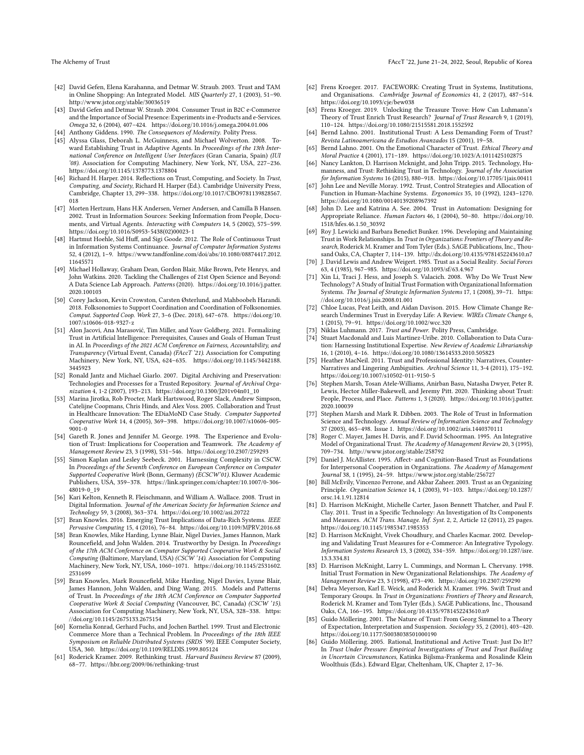- <span id="page-10-30"></span>[42] David Gefen, Elena Karahanna, and Detmar W. Straub. 2003. Trust and TAM in Online Shopping: An Integrated Model. MIS Quarterly 27, 1 (2003), 51–90. <http://www.jstor.org/stable/30036519>
- <span id="page-10-22"></span>[43] David Gefen and Detmar W. Straub. 2004. Consumer Trust in B2C e-Commerce and the Importance of Social Presence: Experiments in e-Products and e-Services. Omega 32, 6 (2004), 407–424.<https://doi.org/10.1016/j.omega.2004.01.006>
- <span id="page-10-38"></span><span id="page-10-0"></span>[44] Anthony Giddens. 1990. The Consequences of Modernity. Polity Press. [45] Alyssa Glass, Deborah L. McGuinness, and Michael Wolverton. 2008. To-
- ward Establishing Trust in Adaptive Agents. In Proceedings of the 13th International Conference on Intelligent User Interfaces (Gran Canaria, Spain) (IUI '08). Association for Computing Machinery, New York, NY, USA, 227–236. <https://doi.org/10.1145/1378773.1378804>
- <span id="page-10-25"></span>[46] Richard H. Harper. 2014. Reflections on Trust, Computing, and Society. In Trust, Computing, and Society, Richard H. Harper (Ed.). Cambridge University Press, Cambridge, Chapter 13, 299–338. [https://doi.org/10.1017/CBO9781139828567.](https://doi.org/10.1017/CBO9781139828567.018) [018](https://doi.org/10.1017/CBO9781139828567.018)
- <span id="page-10-28"></span>[47] Morten Hertzum, Hans H.K Andersen, Verner Andersen, and Camilla B Hansen. 2002. Trust in Information Sources: Seeking Information from People, Documents, and Virtual Agents. Interacting with Computers 14, 5 (2002), 575–599. [https://doi.org/10.1016/S0953-5438\(02\)00023-1](https://doi.org/10.1016/S0953-5438(02)00023-1)
- <span id="page-10-29"></span>[48] Hartmut Hoehle, Sid Huff, and Sigi Goode. 2012. The Role of Continuous Trust in Information Systems Continuance. Journal of Computer Information Systems 52, 4 (2012), 1–9. [https://www.tandfonline.com/doi/abs/10.1080/08874417.2012.](https://www.tandfonline.com/doi/abs/10.1080/08874417.2012.11645571) [11645571](https://www.tandfonline.com/doi/abs/10.1080/08874417.2012.11645571)
- <span id="page-10-9"></span>[49] Michael Hollaway, Graham Dean, Gordon Blair, Mike Brown, Pete Henrys, and John Watkins. 2020. Tackling the Challenges of 21st Open Science and Beyond: A Data Science Lab Approach. Patterns (2020). [https://doi.org/10.1016/j.patter.](https://doi.org/10.1016/j.patter.2020.100103) [2020.100103](https://doi.org/10.1016/j.patter.2020.100103)
- <span id="page-10-37"></span>[50] Corey Jackson, Kevin Crowston, Carsten Østerlund, and Mahboobeh Harandi. 2018. Folksonomies to Support Coordination and Coordination of Folksonomies. Comput. Supported Coop. Work 27, 3–6 (Dec. 2018), 647–678. [https://doi.org/10.](https://doi.org/10.1007/s10606-018-9327-z) [1007/s10606-018-9327-z](https://doi.org/10.1007/s10606-018-9327-z)
- <span id="page-10-13"></span>[51] Alon Jacovi, Ana Marasović, Tim Miller, and Yoav Goldberg. 2021. Formalizing Trust in Artificial Intelligence: Prerequisites, Causes and Goals of Human Trust in AI. In Proceedings of the 2021 ACM Conference on Fairness, Accountability, and Transparency (Virtual Event, Canada) (FAccT '21). Association for Computing Machinery, New York, NY, USA, 624–635. [https://doi.org/10.1145/3442188.](https://doi.org/10.1145/3442188.3445923) [3445923](https://doi.org/10.1145/3442188.3445923)
- <span id="page-10-26"></span>[52] Ronald Jantz and Michael Giarlo. 2007. Digital Archiving and Preservation: Technologies and Processes for a Trusted Repository. Journal of Archival Organization 4, 1-2 (2007), 193–213. [https://doi.org/10.1300/J201v04n01\\_10](https://doi.org/10.1300/J201v04n01_10)
- <span id="page-10-10"></span>[53] Marina Jirotka, Rob Procter, Mark Hartswood, Roger Slack, Andrew Simpson, Catelijne Coopmans, Chris Hinds, and Alex Voss. 2005. Collaboration and Trust in Healthcare Innovation: The EDiaMoND Case Study. Computer Supported Cooperative Work 14, 4 (2005), 369–398. [https://doi.org/10.1007/s10606-005-](https://doi.org/10.1007/s10606-005-9001-0) [9001-0](https://doi.org/10.1007/s10606-005-9001-0)
- <span id="page-10-40"></span>[54] Gareth R. Jones and Jennifer M. George. 1998. The Experience and Evolution of Trust: Implications for Cooperation and Teamwork. The Academy of Management Review 23, 3 (1998), 531–546.<https://doi.org/10.2307/259293>
- <span id="page-10-24"></span>Simon Kaplan and Lesley Seebeck. 2001. Harnessing Complexity in CSCW. In Proceedings of the Seventh Conference on European Conference on Computer Supported Cooperative Work (Bonn, Germany) (ECSCW'01). Kluwer Academic Publishers, USA, 359–378. [https://link.springer.com/chapter/10.1007/0-306-](https://link.springer.com/chapter/10.1007/0-306-48019-0_19) [48019-0\\_19](https://link.springer.com/chapter/10.1007/0-306-48019-0_19)
- <span id="page-10-17"></span>[56] Kari Kelton, Kenneth R. Fleischmann, and William A. Wallace. 2008. Trust in Digital Information. Journal of the American Society for Information Science and Technology 59, 3 (2008), 363–374.<https://doi.org/10.1002/asi.20722>
- <span id="page-10-27"></span>[57] Bran Knowles. 2016. Emerging Trust Implications of Data-Rich Systems. IEEE Pervasive Computing 15, 4 (2016), 76–84.<https://doi.org/10.1109/MPRV.2016.68>
- <span id="page-10-1"></span>[58] Bran Knowles, Mike Harding, Lynne Blair, Nigel Davies, James Hannon, Mark Rouncefield, and John Walden. 2014. Trustworthy by Design. In Proceedings of the 17th ACM Conference on Computer Supported Cooperative Work & Social Computing (Baltimore, Maryland, USA) (CSCW '14). Association for Computing Machinery, New York, NY, USA, 1060–1071. [https://doi.org/10.1145/2531602.](https://doi.org/10.1145/2531602.2531699) [2531699](https://doi.org/10.1145/2531602.2531699)
- <span id="page-10-14"></span>[59] Bran Knowles, Mark Rouncefield, Mike Harding, Nigel Davies, Lynne Blair, James Hannon, John Walden, and Ding Wang. 2015. Models and Patterns of Trust. In Proceedings of the 18th ACM Conference on Computer Supported Cooperative Work & Social Computing (Vancouver, BC, Canada) (CSCW '15). Association for Computing Machinery, New York, NY, USA, 328–338. [https:](https://doi.org/10.1145/2675133.2675154) [//doi.org/10.1145/2675133.2675154](https://doi.org/10.1145/2675133.2675154)
- <span id="page-10-18"></span>[60] Kornelia Konrad, Gerhard Fuchs, and Jochen Barthel. 1999. Trust and Electronic Commerce More than a Technical Problem. In Proceedings of the 18th IEEE Symposium on Reliable Distributed Systems (SRDS '99). IEEE Computer Society, USA, 360.<https://doi.org/10.1109/RELDIS.1999.805124>
- <span id="page-10-34"></span>[61] Roderick Kramer. 2009. Rethinking trust. Harvard Business Review 87 (2009), 68–77.<https://hbr.org/2009/06/rethinking-trust>
- <span id="page-10-39"></span>[62] Frens Kroeger. 2017. FACEWORK: Creating Trust in Systems, Institutions, and Organisations. Cambridge Journal of Economics 41, 2 (2017), 487–514. <https://doi.org/10.1093/cje/bew038>
- <span id="page-10-32"></span>Frens Kroeger. 2019. Unlocking the Treasure Trove: How Can Luhmann's Theory of Trust Enrich Trust Research? Journal of Trust Research 9, 1 (2019), 110–124.<https://doi.org/10.1080/21515581.2018.1552592>
- <span id="page-10-33"></span>[64] Bernd Lahno. 2001. Institutional Trust: A Less Demanding Form of Trust? Revista Latinoamericana de Estudios Avanzados 15 (2001), 19–58.
- <span id="page-10-42"></span>[65] Bernd Lahno. 2001. On the Emotional Character of Trust. Ethical Theory and Moral Practice 4 (2001), 171–189.<https://doi.org/10.1023/A:1011425102875>
- <span id="page-10-19"></span>[66] Nancy Lankton, D. Harrison Mcknight, and John Tripp. 2015. Technology, Humanness, and Trust: Rethinking Trust in Technology. Journal of the Association for Information Systems 16 (2015), 880–918.<https://doi.org/10.17705/1jais.00411>
- <span id="page-10-23"></span>[67] John Lee and Neville Moray. 1992. Trust, Control Strategies and Allocation of Function in Human-Machine Systems. Ergonomics 35, 10 (1992), 1243–1270. <https://doi.org/10.1080/00140139208967392>
- <span id="page-10-20"></span>[68] John D. Lee and Katrina A. See. 2004. Trust in Automation: Designing for Appropriate Reliance. Human Factors 46, 1 (2004), 50–80. [https://doi.org/10.](https://doi.org/10.1518/hfes.46.1.50_30392) [1518/hfes.46.1.50\\_30392](https://doi.org/10.1518/hfes.46.1.50_30392)
- <span id="page-10-11"></span>[69] Roy J. Lewicki and Barbara Benedict Bunker. 1996. Developing and Maintaining Trust in Work Relationships. In Trust in Organizations: Frontiers of Theory and Research, Roderick M. Kramer and Tom Tyler (Eds.). SAGE Publications, Inc., Thousand Oaks, CA, Chapter 7, 114–139.<http://dx.doi.org/10.4135/9781452243610.n7>
- <span id="page-10-6"></span>[70] J. David Lewis and Andrew Weigert. 1985. Trust as a Social Reality. Social Forces 63, 4 (1985), 967–985.<https://doi.org/10.1093/sf/63.4.967>
- <span id="page-10-21"></span>[71] Xin Li, Traci J. Hess, and Joseph S. Valacich. 2008. Why Do We Trust New Technology? A Study of Initial Trust Formation with Organizational Information Systems. The Journal of Strategic Information Systems 17, 1 (2008), 39-71. [https:](https://doi.org/10.1016/j.jsis.2008.01.001) [//doi.org/10.1016/j.jsis.2008.01.001](https://doi.org/10.1016/j.jsis.2008.01.001)
- <span id="page-10-43"></span>[72] Chloe Lucas, Peat Leith, and Aidan Davison. 2015. How Climate Change Research Undermines Trust in Everyday Life: A Review. WIREs Climate Change 6, 1 (2015), 79–91.<https://doi.org/10.1002/wcc.320>
- <span id="page-10-7"></span>[73] Niklas Luhmann. 2017. Trust and Power. Polity Press, Cambridge.
- <span id="page-10-41"></span>[74] Stuart Macdonald and Luis Martinez-Uribe. 2010. Collaboration to Data Curation: Harnessing Institutional Expertise. New Review of Academic Librarianship 16, 1 (2010), 4–16.<https://doi.org/10.1080/13614533.2010.505823>
- <span id="page-10-31"></span>[75] Heather MacNeil. 2011. Trust and Professional Identity: Narratives, Counter-Narratives and Lingering Ambiguities. Archival Science 11, 3-4 (2011), 175–192. <https://doi.org/10.1007/s10502-011-9150-5>
- <span id="page-10-2"></span>[76] Stephen Marsh, Tosan Atele-Williams, Anirban Basu, Natasha Dwyer, Peter R. Lewis, Hector Miller-Bakewell, and Jeremy Pitt. 2020. Thinking about Trust: People, Process, and Place. Patterns 1, 3 (2020). [https://doi.org/10.1016/j.patter.](https://doi.org/10.1016/j.patter.2020.100039) [2020.100039](https://doi.org/10.1016/j.patter.2020.100039)
- <span id="page-10-12"></span>[77] Stephen Marsh and Mark R. Dibben. 2003. The Role of Trust in Information Science and Technology. Annual Review of Information Science and Technology 37 (2003), 465–498. Issue 1.<https://doi.org/10.1002/aris.1440370111>
- <span id="page-10-16"></span>[78] Roger C. Mayer, James H. Davis, and F. David Schoorman. 1995. An Integrative Model of Organizational Trust. The Academy of Management Review 20, 3 (1995), 709–734.<http://www.jstor.org/stable/258792>
- <span id="page-10-8"></span>[79] Daniel J. McAllister. 1995. Affect- and Cognition-Based Trust as Foundations for Interpersonal Cooperation in Organizations. The Academy of Management Journal 38, 1 (1995), 24–59.<https://www.jstor.org/stable/256727>
- <span id="page-10-3"></span>[80] Bill McEvily, Vincenzo Perrone, and Akbar Zaheer. 2003. Trust as an Organizing Principle. Organization Science 14, 1 (2003), 91–103. [https://doi.org/10.1287/](https://doi.org/10.1287/orsc.14.1.91.12814) [orsc.14.1.91.12814](https://doi.org/10.1287/orsc.14.1.91.12814)
- <span id="page-10-15"></span>[81] D. Harrison McKnight, Michelle Carter, Jason Bennett Thatcher, and Paul F. Clay. 2011. Trust in a Specific Technology: An Investigation of Its Components and Measures. ACM Trans. Manage. Inf. Syst. 2, 2, Article 12 (2011), 25 pages. <https://doi.org/10.1145/1985347.1985353>
- <span id="page-10-4"></span>[82] D. Harrison McKnight, Vivek Choudhury, and Charles Kacmar. 2002. Developing and Validating Trust Measures for e-Commerce: An Integrative Typology. Information Systems Research 13, 3 (2002), 334–359. [https://doi.org/10.1287/isre.](https://doi.org/10.1287/isre.13.3.334.81) [13.3.334.81](https://doi.org/10.1287/isre.13.3.334.81)
- <span id="page-10-35"></span>[83] D. Harrison McKnight, Larry L. Cummings, and Norman L. Chervany. 1998. Initial Trust Formation in New Organizational Relationships. The Academy of Management Review 23, 3 (1998), 473–490.<https://doi.org/10.2307/259290>
- <span id="page-10-5"></span>[84] Debra Meyerson, Karl E. Weick, and Roderick M. Kramer. 1996. Swift Trust and Temporary Groups. In Trust in Organizations: Frontiers of Theory and Research, Roderick M. Kramer and Tom Tyler (Eds.). SAGE Publications, Inc., Thousand Oaks, CA, 166–195.<https://doi.org/10.4135/9781452243610.n9>
- <span id="page-10-44"></span>[85] Guido Möllering. 2001. The Nature of Trust: From Georg Simmel to a Theory of Expectation, Interpretation and Suspension. Sociology 35, 2 (2001), 403–420. <https://doi.org/10.1177/S0038038501000190>
- <span id="page-10-36"></span>[86] Guido Möllering. 2005. Rational, Institutional and Active Trust: Just Do It!? In Trust Under Pressure: Empirical Investigations of Trust and Trust Building in Uncertain Circumstances, Katinka Bijlsma-Frankema and Rosalinde Klein Woolthuis (Eds.). Edward Elgar, Cheltenham, UK, Chapter 2, 17–36.